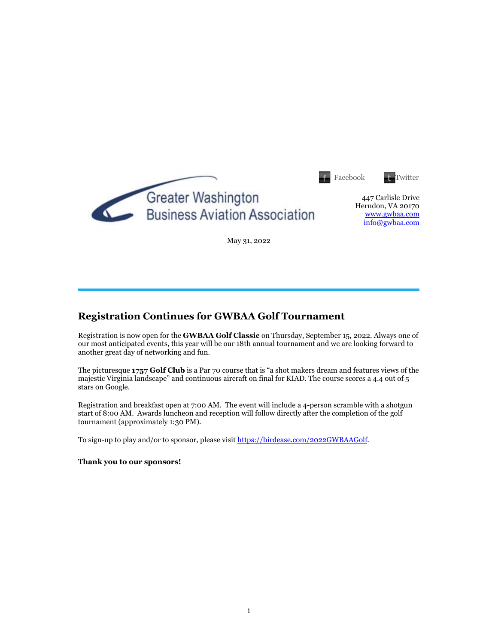|                                                                   | Facebook | <b>Twitter</b>                                                             |
|-------------------------------------------------------------------|----------|----------------------------------------------------------------------------|
| <b>Greater Washington</b><br><b>Business Aviation Association</b> |          | 447 Carlisle Drive<br>Herndon, VA 20170<br>www.gwbaa.com<br>info@gwbaa.com |

May 31, 2022

## **Registration Continues for GWBAA Golf Tournament**

Registration is now open for the **GWBAA Golf Classic** on Thursday, September 15, 2022. Always one of our most anticipated events, this year will be our 18th annual tournament and we are looking forward to another great day of networking and fun.

The picturesque **1757 Golf Club** is a Par 70 course that is "a shot makers dream and features views of the majestic Virginia landscape" and continuous aircraft on final for KIAD. The course scores a 4.4 out of 5 stars on Google.

Registration and breakfast open at 7:00 AM. The event will include a 4-person scramble with a shotgun start of 8:00 AM. Awards luncheon and reception will follow directly after the completion of the golf tournament (approximately 1:30 PM).

To sign-up to play and/or to sponsor, please visit https://birdease.com/2022GWBAAGolf.

**Thank you to our sponsors!**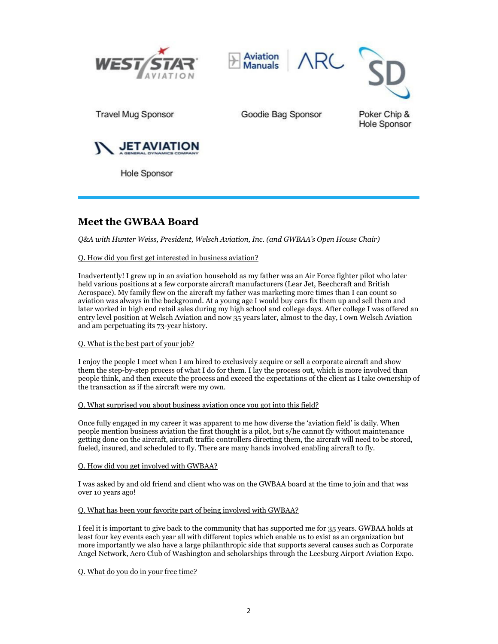





**Travel Mug Sponsor** 

Goodie Bag Sponsor

Poker Chip & **Hole Sponsor** 



**Hole Sponsor** 

# **Meet the GWBAA Board**

*Q&A with Hunter Weiss, President, Welsch Aviation, Inc. (and GWBAA's Open House Chair)*

#### Q. How did you first get interested in business aviation?

Inadvertently! I grew up in an aviation household as my father was an Air Force fighter pilot who later held various positions at a few corporate aircraft manufacturers (Lear Jet, Beechcraft and British Aerospace). My family flew on the aircraft my father was marketing more times than I can count so aviation was always in the background. At a young age I would buy cars fix them up and sell them and later worked in high end retail sales during my high school and college days. After college I was offered an entry level position at Welsch Aviation and now 35 years later, almost to the day, I own Welsch Aviation and am perpetuating its 73-year history.

#### Q. What is the best part of your job?

I enjoy the people I meet when I am hired to exclusively acquire or sell a corporate aircraft and show them the step-by-step process of what I do for them. I lay the process out, which is more involved than people think, and then execute the process and exceed the expectations of the client as I take ownership of the transaction as if the aircraft were my own.

#### Q. What surprised you about business aviation once you got into this field?

Once fully engaged in my career it was apparent to me how diverse the 'aviation field' is daily. When people mention business aviation the first thought is a pilot, but s/he cannot fly without maintenance getting done on the aircraft, aircraft traffic controllers directing them, the aircraft will need to be stored, fueled, insured, and scheduled to fly. There are many hands involved enabling aircraft to fly.

#### Q. How did you get involved with GWBAA?

I was asked by and old friend and client who was on the GWBAA board at the time to join and that was over 10 years ago!

#### Q. What has been your favorite part of being involved with GWBAA?

I feel it is important to give back to the community that has supported me for 35 years. GWBAA holds at least four key events each year all with different topics which enable us to exist as an organization but more importantly we also have a large philanthropic side that supports several causes such as Corporate Angel Network, Aero Club of Washington and scholarships through the Leesburg Airport Aviation Expo.

#### Q. What do you do in your free time?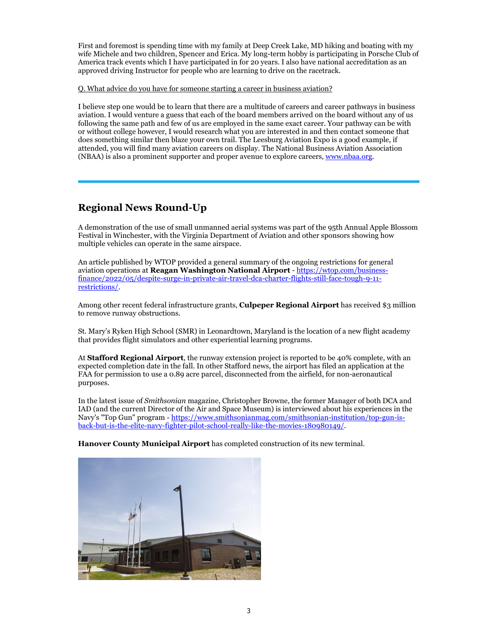First and foremost is spending time with my family at Deep Creek Lake, MD hiking and boating with my wife Michele and two children, Spencer and Erica. My long-term hobby is participating in Porsche Club of America track events which I have participated in for 20 years. I also have national accreditation as an approved driving Instructor for people who are learning to drive on the racetrack.

Q. What advice do you have for someone starting a career in business aviation?

I believe step one would be to learn that there are a multitude of careers and career pathways in business aviation. I would venture a guess that each of the board members arrived on the board without any of us following the same path and few of us are employed in the same exact career. Your pathway can be with or without college however, I would research what you are interested in and then contact someone that does something similar then blaze your own trail. The Leesburg Aviation Expo is a good example, if attended, you will find many aviation careers on display. The National Business Aviation Association (NBAA) is also a prominent supporter and proper avenue to explore careers, www.nbaa.org.

## **Regional News Round-Up**

A demonstration of the use of small unmanned aerial systems was part of the 95th Annual Apple Blossom Festival in Winchester, with the Virginia Department of Aviation and other sponsors showing how multiple vehicles can operate in the same airspace.

An article published by WTOP provided a general summary of the ongoing restrictions for general aviation operations at **Reagan Washington National Airport** - https://wtop.com/businessfinance/2022/05/despite-surge-in-private-air-travel-dca-charter-flights-still-face-tough-9-11 restrictions/.

Among other recent federal infrastructure grants, **Culpeper Regional Airport** has received \$3 million to remove runway obstructions.

St. Mary's Ryken High School (SMR) in Leonardtown, Maryland is the location of a new flight academy that provides flight simulators and other experiential learning programs.

At **Stafford Regional Airport**, the runway extension project is reported to be 40% complete, with an expected completion date in the fall. In other Stafford news, the airport has filed an application at the FAA for permission to use a 0.89 acre parcel, disconnected from the airfield, for non-aeronautical purposes.

In the latest issue of *Smithsonian* magazine, Christopher Browne, the former Manager of both DCA and IAD (and the current Director of the Air and Space Museum) is interviewed about his experiences in the Navy's "Top Gun" program - https://www.smithsonianmag.com/smithsonian-institution/top-gun-isback-but-is-the-elite-navy-fighter-pilot-school-really-like-the-movies-180980149/.

**Hanover County Municipal Airport** has completed construction of its new terminal.